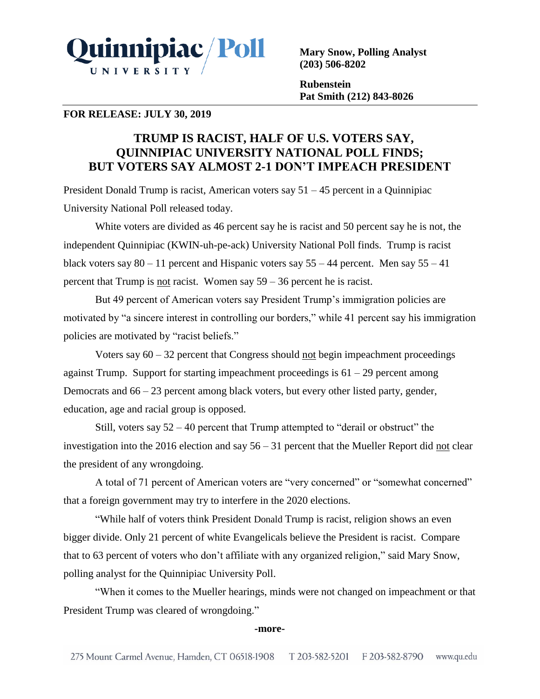

**Mary Snow, Polling Analyst (203) 506-8202**

**Rubenstein Pat Smith (212) 843-8026**

## **FOR RELEASE: JULY 30, 2019**

# **TRUMP IS RACIST, HALF OF U.S. VOTERS SAY, QUINNIPIAC UNIVERSITY NATIONAL POLL FINDS; BUT VOTERS SAY ALMOST 2-1 DON'T IMPEACH PRESIDENT**

President Donald Trump is racist, American voters say  $51 - 45$  percent in a Quinnipiac University National Poll released today.

White voters are divided as 46 percent say he is racist and 50 percent say he is not, the independent Quinnipiac (KWIN-uh-pe-ack) University National Poll finds. Trump is racist black voters say  $80 - 11$  percent and Hispanic voters say  $55 - 44$  percent. Men say  $55 - 41$ percent that Trump is not racist. Women say 59 – 36 percent he is racist.

But 49 percent of American voters say President Trump's immigration policies are motivated by "a sincere interest in controlling our borders," while 41 percent say his immigration policies are motivated by "racist beliefs."

Voters say  $60 - 32$  percent that Congress should not begin impeachment proceedings against Trump. Support for starting impeachment proceedings is 61 – 29 percent among Democrats and 66 – 23 percent among black voters, but every other listed party, gender, education, age and racial group is opposed.

Still, voters say  $52 - 40$  percent that Trump attempted to "derail or obstruct" the investigation into the 2016 election and say  $56 - 31$  percent that the Mueller Report did not clear the president of any wrongdoing.

A total of 71 percent of American voters are "very concerned" or "somewhat concerned" that a foreign government may try to interfere in the 2020 elections.

"While half of voters think President Donald Trump is racist, religion shows an even bigger divide. Only 21 percent of white Evangelicals believe the President is racist. Compare that to 63 percent of voters who don't affiliate with any organized religion," said Mary Snow, polling analyst for the Quinnipiac University Poll.

"When it comes to the Mueller hearings, minds were not changed on impeachment or that President Trump was cleared of wrongdoing."

#### **-more-**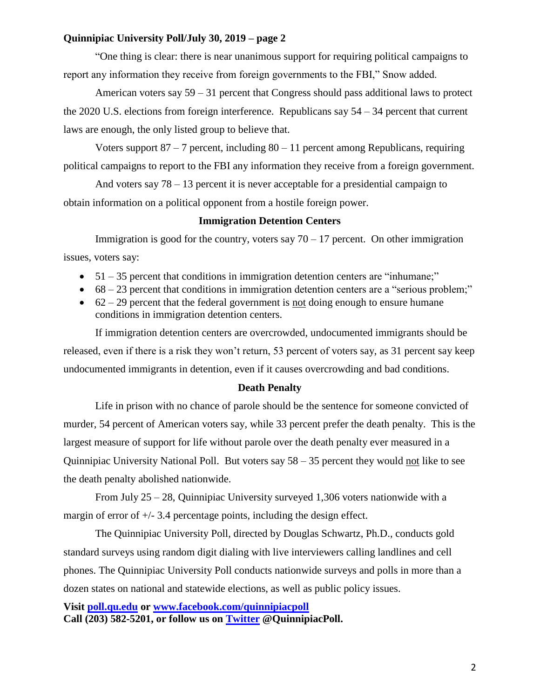### **Quinnipiac University Poll/July 30, 2019 – page 2**

"One thing is clear: there is near unanimous support for requiring political campaigns to report any information they receive from foreign governments to the FBI," Snow added.

American voters say  $59 - 31$  percent that Congress should pass additional laws to protect the 2020 U.S. elections from foreign interference. Republicans say 54 – 34 percent that current laws are enough, the only listed group to believe that.

Voters support  $87 - 7$  percent, including  $80 - 11$  percent among Republicans, requiring political campaigns to report to the FBI any information they receive from a foreign government.

And voters say 78 – 13 percent it is never acceptable for a presidential campaign to obtain information on a political opponent from a hostile foreign power.

#### **Immigration Detention Centers**

Immigration is good for the country, voters say  $70 - 17$  percent. On other immigration issues, voters say:

- $\bullet$  51 35 percent that conditions in immigration detention centers are "inhumane;"
- $\bullet$  68 23 percent that conditions in immigration detention centers are a "serious problem;"
- $\bullet$  62 29 percent that the federal government is not doing enough to ensure humane conditions in immigration detention centers.

If immigration detention centers are overcrowded, undocumented immigrants should be released, even if there is a risk they won't return, 53 percent of voters say, as 31 percent say keep undocumented immigrants in detention, even if it causes overcrowding and bad conditions.

#### **Death Penalty**

Life in prison with no chance of parole should be the sentence for someone convicted of murder, 54 percent of American voters say, while 33 percent prefer the death penalty. This is the largest measure of support for life without parole over the death penalty ever measured in a Quinnipiac University National Poll. But voters say 58 – 35 percent they would not like to see the death penalty abolished nationwide.

From July 25 – 28, Quinnipiac University surveyed 1,306 voters nationwide with a margin of error of  $+/- 3.4$  percentage points, including the design effect.

The Quinnipiac University Poll, directed by Douglas Schwartz, Ph.D., conducts gold standard surveys using random digit dialing with live interviewers calling landlines and cell phones. The Quinnipiac University Poll conducts nationwide surveys and polls in more than a dozen states on national and statewide elections, as well as public policy issues.

# **Visit [poll.qu.edu](https://poll.qu.edu/) or [www.facebook.com/quinnipiacpoll](http://www.facebook.com/quinnipiacpoll)  Call (203) 582-5201, or follow us on [Twitter](http://twitter.com/QuinnipiacPoll) @QuinnipiacPoll.**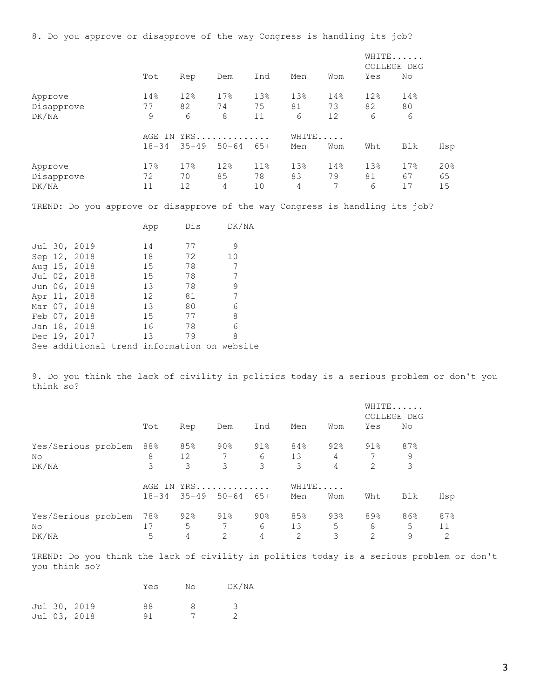8. Do you approve or disapprove of the way Congress is handling its job?

|                       |           |            |           |           |           |           |           | WHITE<br>COLLEGE DEG |           |
|-----------------------|-----------|------------|-----------|-----------|-----------|-----------|-----------|----------------------|-----------|
|                       | Tot       | Rep        | Dem       | Ind       | Men       | Wom       | Yes       | No                   |           |
| Approve               | 14%       | 12%        | 17%       | 13%       | 13%       | 14%       | 12%       | 14%                  |           |
| Disapprove            | 77        | 82         | 74        | 75        | 81        | 73        | 82        | 80                   |           |
| DK/NA                 | 9         | 6          | 8         | 11        | 6         | 12        | 6         | 6                    |           |
|                       |           | AGE IN YRS |           |           | WHITE     |           |           |                      |           |
|                       | $18 - 34$ | $35 - 49$  | $50 - 64$ | 65+       | Men       | Wom       | Wht       | Blk                  | Hsp       |
| Approve<br>Disapprove | 17%<br>72 | 17%<br>70  | 12%<br>85 | 11%<br>78 | 13%<br>83 | 14%<br>79 | 13%<br>81 | 17%<br>67            | 20%<br>65 |
| DK/NA                 | 11        | 12         | 4         | 10        | 4         | 7         | 6         | 17                   | 15        |

TREND: Do you approve or disapprove of the way Congress is handling its job?

|  |                                             | App             | Dis | DK/NA |  |
|--|---------------------------------------------|-----------------|-----|-------|--|
|  | Jul 30, 2019                                | 14              | 77  | 9     |  |
|  | Sep 12, 2018                                | 18              | 72  | 10    |  |
|  | Aug 15, 2018                                | 15              | 78  | 7     |  |
|  | Jul 02, 2018                                | 15 <sub>1</sub> | 78  | 7     |  |
|  | Jun 06, 2018                                | 13              | 78  | 9     |  |
|  | Apr 11, 2018                                | 12 <sup>7</sup> | 81  | 7     |  |
|  | Mar 07, 2018                                | 13              | 80  | 6     |  |
|  | Feb 07, 2018                                | 15 <sub>1</sub> | 77  | 8     |  |
|  | Jan 18, 2018                                | 16              | 78  | 6     |  |
|  | Dec 19, 2017                                | 13              | 79  | 8     |  |
|  | See additional trend information on website |                 |     |       |  |

9. Do you think the lack of civility in politics today is a serious problem or don't you think so?

|                                    |                |                |                  |               |                |               |                  | WHITE<br>COLLEGE DEG |                |
|------------------------------------|----------------|----------------|------------------|---------------|----------------|---------------|------------------|----------------------|----------------|
|                                    | Tot            | Rep            | Dem              | Ind           | Men            | Wom           | Yes              | No                   |                |
| Yes/Serious problem<br>No<br>DK/NA | 88%<br>8<br>3  | 85%<br>12<br>3 | $90\%$<br>7<br>3 | 91%<br>6<br>3 | 84%<br>13<br>3 | 92%<br>4<br>4 | $91\%$<br>7<br>2 | 87%<br>9<br>3        |                |
|                                    | AGE<br>IN      |                | YRS              |               | WHITE          |               |                  |                      |                |
|                                    | $18 - 34$      | $35 - 49$      | $50 - 64$        | 65+           | Men            | Wom           | Wht              | Blk                  | Hsp            |
| Yes/Serious problem<br>No<br>DK/NA | 78%<br>17<br>5 | 92%<br>5<br>4  | 91%<br>2         | 90%<br>6<br>4 | 85%<br>13<br>2 | 93%<br>5<br>3 | 89%<br>8<br>2    | 86%<br>5<br>9        | 87%<br>11<br>2 |

TREND: Do you think the lack of civility in politics today is a serious problem or don't you think so?

|  |              | Yes | N٥ | DK/NA |
|--|--------------|-----|----|-------|
|  | Jul 30, 2019 | 88  | 8  | 3     |
|  | Jul 03, 2018 | 91  |    |       |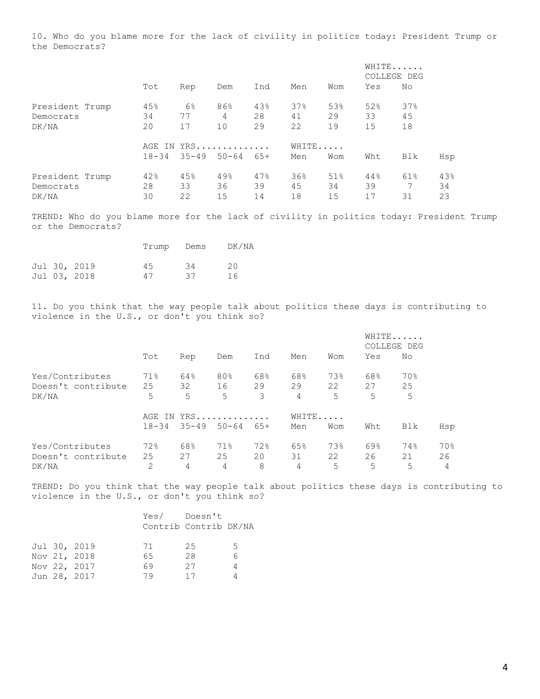10. Who do you blame more for the lack of civility in politics today: President Trump or the Democrats?

|                                       |                 |                         |                 |                 |                 | WHITE<br>COLLEGE DEG |                 |                 |                 |
|---------------------------------------|-----------------|-------------------------|-----------------|-----------------|-----------------|----------------------|-----------------|-----------------|-----------------|
|                                       | Tot             | Rep                     | Dem             | Ind             | Men             | Wom                  | Yes             | No              |                 |
| President Trump<br>Democrats<br>DK/NA | 45%<br>34<br>20 | $6\%$<br>77<br>17       | 86%<br>4<br>10  | 43%<br>28<br>29 | 37%<br>41<br>22 | 53%<br>29<br>19      | 52%<br>33<br>15 | 37%<br>45<br>18 |                 |
|                                       | $18 - 34$       | AGE IN YRS<br>$35 - 49$ | $50 - 64$       | 65+             | WHITE<br>Men    | Wom                  | Wht             | Blk             | Hsp             |
| President Trump<br>Democrats<br>DK/NA | 42%<br>28<br>30 | 45%<br>33<br>22         | 49%<br>36<br>15 | 47%<br>39<br>14 | 36%<br>45<br>18 | 51%<br>34<br>15      | 44%<br>39<br>17 | 61%<br>7<br>31  | 43%<br>34<br>23 |

TREND: Who do you blame more for the lack of civility in politics today: President Trump or the Democrats?

|  |              | Trump | Dems | DK/NA |
|--|--------------|-------|------|-------|
|  | Jul 30, 2019 | 45    | 34   | 20    |
|  | Jul 03, 2018 | 47    | 37   | 16    |

11. Do you think that the way people talk about politics these days is contributing to violence in the U.S., or don't you think so?

|                    |           |           |            |       |       |     |     | WHITE<br>COLLEGE DEG |     |  |
|--------------------|-----------|-----------|------------|-------|-------|-----|-----|----------------------|-----|--|
|                    | Tot       | Rep       | Dem        | Ind   | Men   | Wom | Yes | No                   |     |  |
| Yes/Contributes    | 71%       | 64%       | 80%        | 68%   | 68%   | 73% | 68% | 70%                  |     |  |
| Doesn't contribute | 25        | 32        | 16         | 29    | 29    | 22  | 27  | 25                   |     |  |
| DK/NA              | 5         | 5         | 5          | 3     | 4     | 5   | 5   | 5                    |     |  |
|                    |           |           | AGE IN YRS |       | WHITE |     |     |                      |     |  |
|                    | $18 - 34$ | $35 - 49$ | $50 - 64$  | $65+$ | Men   | Wom | Wht | Blk                  | Hsp |  |
| Yes/Contributes    | 72%       | 68%       | 71%        | 72%   | 65%   | 73% | 69% | 74%                  | 70% |  |
| Doesn't contribute | 25        | 27        | 25         | 20    | 31    | 22  | 26  | 21                   | 26  |  |
| DK/NA              | 2         | 4         | 4          | 8     | 4     | 5   | 5   | 5                    | 4   |  |

TREND: Do you think that the way people talk about politics these days is contributing to violence in the U.S., or don't you think so?

|  |              |    | Yes/ Doesn't          |                |
|--|--------------|----|-----------------------|----------------|
|  |              |    | Contrib Contrib DK/NA |                |
|  | Jul 30, 2019 | 71 | 25                    | .5             |
|  | Nov 21, 2018 | 65 | 28                    | 6              |
|  | Nov 22, 2017 | 69 | 27                    | $\overline{4}$ |
|  | Jun 28, 2017 | 79 | 17                    |                |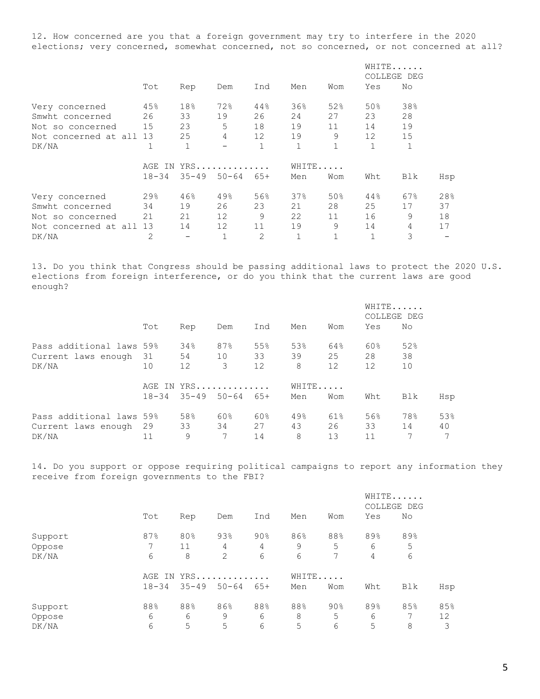12. How concerned are you that a foreign government may try to interfere in the 2020 elections; very concerned, somewhat concerned, not so concerned, or not concerned at all?

|                         |           |              |                   |                   |              |              | WHITE<br>COLLEGE DEG |              |     |
|-------------------------|-----------|--------------|-------------------|-------------------|--------------|--------------|----------------------|--------------|-----|
|                         | Tot       | Rep          | Dem               | Ind               | Men          | Wom          | Yes                  | No           |     |
| Very concerned          | 45%       | 18%          | 72%               | 44%               | 36%          | 52%          | 50%                  | 38%          |     |
| Smwht concerned         | 26        | 33           | 19                | 26                | 24           | 27           | 23                   | 28           |     |
| Not so concerned        | 15        | 23           | 5                 | 18                | 19           | 11           | 14                   | 19           |     |
| Not concerned at all 13 |           | 25           | 4                 | $12 \overline{ }$ | 19           | 9            | 12                   | 15           |     |
| DK/NA                   |           | $\mathbf{1}$ | $\qquad \qquad -$ |                   | $\mathbf{1}$ | $\mathbf{1}$ | $\mathbf{1}$         | $\mathbf{1}$ |     |
|                         | AGE IN    |              | YRS               |                   | WHITE.       |              |                      |              |     |
|                         | $18 - 34$ | $35 - 49$    | $50 - 64$         | $65+$             | Men          | Wom          | Wht                  | Blk          | Hsp |
| Very concerned          | 29%       | 46%          | 49%               | 56%               | 37%          | 50%          | 44%                  | 67%          | 28% |
| Smwht concerned         | 34        | 19           | 26                | 23                | 21           | 28           | 25                   | 17           | 37  |
| Not so concerned        | 21        | 21           | 12                | 9                 | 22           | 11           | 16                   | 9            | 18  |
| Not concerned at all 13 |           | 14           | 12                | 11                | 19           | 9            | 14                   | 4            | 17  |
| DK/NA                   | 2         |              |                   | 2                 | 1            |              | $\mathbf{1}$         | 3            |     |

13. Do you think that Congress should be passing additional laws to protect the 2020 U.S. elections from foreign interference, or do you think that the current laws are good enough?

|                                 |           |            |           |          |         |          |          | WHITE<br>COLLEGE DEG |     |
|---------------------------------|-----------|------------|-----------|----------|---------|----------|----------|----------------------|-----|
|                                 | Tot       | Rep        | Dem       | Ind      | Men     | Wom      | Yes      | No                   |     |
| Pass additional laws 59%        |           | 34%        | 87%       | 55%      | 53%     | 64%      | 60%      | 52%                  |     |
| Current laws enough 31<br>DK/NA | 10        | 54<br>12   | 10<br>3   | 33<br>12 | 39<br>8 | 25<br>12 | 28<br>12 | 38<br>10             |     |
|                                 |           | AGE IN YRS |           |          | WHITE   |          |          |                      |     |
|                                 | $18 - 34$ | $35 - 49$  | $50 - 64$ | $65+$    | Men     | Wom      | Wht      | Blk                  | Hsp |
| Pass additional laws 59%        |           | 58%        | 60%       | 60%      | 49%     | 61%      | 56%      | 78%                  | 53% |
| Current laws enough 29          |           | 33         | 34        | 27       | 43      | 26       | 33       | 14                   | 40  |
| DK/NA                           | 11        | 9          | 7         | 14       | 8       | 13       | 11       |                      |     |

14. Do you support or oppose requiring political campaigns to report any information they receive from foreign governments to the FBI?

|         |           |           |                |     |     |        |     | WHITE<br>COLLEGE DEG |     |
|---------|-----------|-----------|----------------|-----|-----|--------|-----|----------------------|-----|
|         | Tot       | Rep       | Dem            | Ind | Men | Wom    | Yes | No                   |     |
| Support | 87%       | 80%       | 93%            | 90% | 86% | 88%    | 89% | 89%                  |     |
| Oppose  |           | 11        | 4              | 4   | 9   | 5      | 6   | 5                    |     |
| DK/NA   | 6         | 8         | $\overline{2}$ | 6   | 6   | 7      | 4   | 6                    |     |
|         | AGE IN    |           | YRS            |     |     | WHITE  |     |                      |     |
|         | $18 - 34$ | $35 - 49$ | $50 - 64$      | 65+ | Men | Wom    | Wht | Blk                  | Hsp |
| Support | 88%       | 88%       | 86%            | 88% | 88% | $90\%$ | 89% | 85%                  | 85% |
| Oppose  | 6         | 6         | 9              | 6   | 8   | 5      | 6   |                      | 12  |
| DK/NA   | 6         | 5         | 5              | 6   | 5   | 6      | 5   | 8                    | 3   |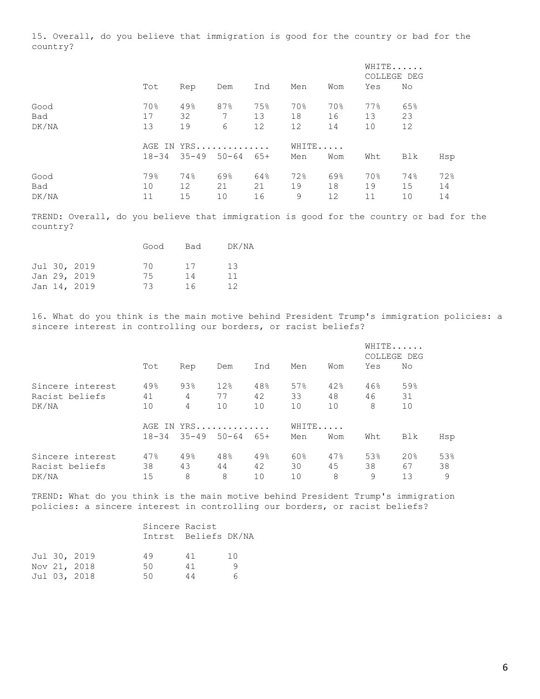15. Overall, do you believe that immigration is good for the country or bad for the country?

|             |           |            |             |           |           |           |           | WHITE<br>COLLEGE DEG |           |
|-------------|-----------|------------|-------------|-----------|-----------|-----------|-----------|----------------------|-----------|
|             | Tot       | Rep        | Dem         | Ind       | Men       | Wom       | Yes       | No                   |           |
| Good        | 70%       | 49%        | 87%         | 75%       | 70%       | 70%       | 77%       | 65%                  |           |
| Bad         | 17        | 32         | $7^{\circ}$ | 13        | 18        | 16        | 13        | 23                   |           |
| DK/NA       | 13        | 19         | 6           | 12        | 12        | 14        | 10        | 12                   |           |
|             |           | AGE IN YRS |             |           | WHITE     |           |           |                      |           |
|             | $18 - 34$ | $35 - 49$  | $50 - 64$   | $65+$     | Men       | Wom       | Wht       | Blk                  | Hsp       |
| Good<br>Bad | 79%<br>10 | 74%<br>12  | 69%<br>21   | 64%<br>21 | 72%<br>19 | 69%<br>18 | 70%<br>19 | 74%<br>15            | 72%<br>14 |
| DK/NA       | 11        | 15         | 10          | 16        | 9         | 12        | 11        | 10                   | 14        |
|             |           |            |             |           |           |           |           |                      |           |

TREND: Overall, do you believe that immigration is good for the country or bad for the country?

|  |              | Good | Bad | DK/NA |
|--|--------------|------|-----|-------|
|  | Jul 30, 2019 | 70   | 17  | 13    |
|  | Jan 29, 2019 | 75   | 14  | 11    |
|  | Jan 14, 2019 | 73   | 16  | 12    |

16. What do you think is the main motive behind President Trump's immigration policies: a sincere interest in controlling our borders, or racist beliefs?

|                  |            |     |                     |       |     |       | WHITE<br>COLLEGE DEG |     |     |
|------------------|------------|-----|---------------------|-------|-----|-------|----------------------|-----|-----|
|                  | Tot        | Rep | Dem                 | Ind   | Men | Wom   | Yes                  | No  |     |
| Sincere interest | 49%        | 93% | 12%                 | 48%   | 57% | 42%   | 46%                  | 59% |     |
| Racist beliefs   | 41         | 4   | 77                  | 42    | 33  | 48    | 46                   | 31  |     |
| DK/NA            | 10         | 4   | 10                  | 10    | 10  | 10    | 8                    | 10  |     |
|                  | AGE IN YRS |     |                     |       |     | WHITE |                      |     |     |
|                  | $18 - 34$  |     | $35 - 49$ $50 - 64$ | $65+$ | Men | Wom   | Wht                  | Blk | Hsp |
| Sincere interest | 47%        | 49% | 48%                 | 49%   | 60% | 47%   | 53%                  | 20% | 53% |
| Racist beliefs   | 38         | 43  | 44                  | 42    | 30  | 45    | 38                   | 67  | 38  |
| DK/NA            | 15         | 8   | 8                   | 10    | 10  | 8     | 9                    | 13  | 9   |

TREND: What do you think is the main motive behind President Trump's immigration policies: a sincere interest in controlling our borders, or racist beliefs?

|  |              | Sincere Racist | Intrst Beliefs DK/NA |     |
|--|--------------|----------------|----------------------|-----|
|  | Jul 30, 2019 | 49             | 41                   | 1 O |
|  | Nov 21, 2018 | 50             | 41                   | q   |
|  | Jul 03, 2018 | 50             | 44                   |     |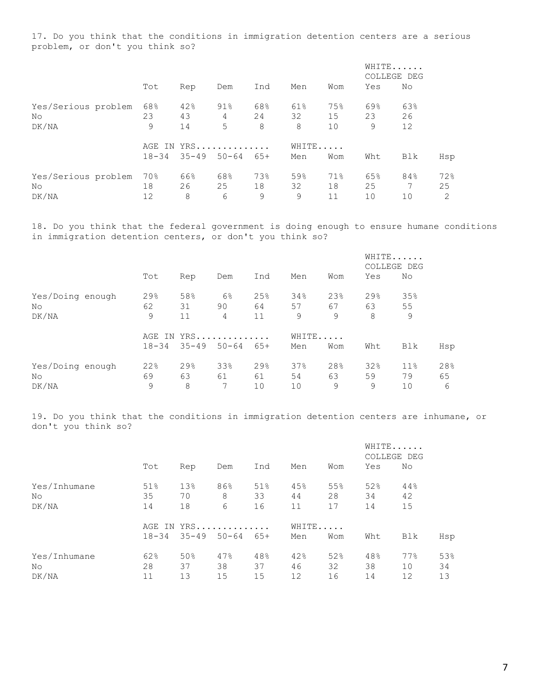17. Do you think that the conditions in immigration detention centers are a serious problem, or don't you think so?

|                                    |                         |                 |                  |                |                |                 | WHITE<br>COLLEGE DEG |                 |                |
|------------------------------------|-------------------------|-----------------|------------------|----------------|----------------|-----------------|----------------------|-----------------|----------------|
|                                    | Tot                     | Rep             | Dem              | Ind            | Men            | Wom             | Yes                  | No              |                |
| Yes/Serious problem<br>No<br>DK/NA | 68%<br>23<br>9          | 42%<br>43<br>14 | $91\%$<br>4<br>5 | 68%<br>24<br>8 | 61%<br>32<br>8 | 75%<br>15<br>10 | 69%<br>23<br>9       | 63%<br>26<br>12 |                |
|                                    | AGE IN YRS<br>$18 - 34$ | $35 - 49$ 50-64 |                  | 65+            | WHITE<br>Men   | Wom             | Wht                  | Blk             | Hsp            |
| Yes/Serious problem<br>No<br>DK/NA | 70%<br>18<br>12         | 66%<br>26<br>8  | 68%<br>25<br>6   | 73%<br>18<br>9 | 59%<br>32<br>9 | 71%<br>18<br>11 | 65%<br>25<br>10      | 84%<br>7<br>10  | 72%<br>25<br>2 |

18. Do you think that the federal government is doing enough to ensure humane conditions in immigration detention centers, or don't you think so?

|                  |           |     |                 |     |       |     |     | WHITE<br>COLLEGE DEG |     |
|------------------|-----------|-----|-----------------|-----|-------|-----|-----|----------------------|-----|
|                  | Tot       | Rep | Dem             | Ind | Men   | Wom | Yes | No                   |     |
| Yes/Doing enough | 29%       | 58% | $6\%$           | 25% | 34%   | 23% | 29% | 35%                  |     |
| No               | 62        | 31  | 90              | 64  | 57    | 67  | 63  | 55                   |     |
| DK/NA            | 9         | 11  | 4               | 11  | 9     | 9   | 8   | 9                    |     |
|                  | AGE<br>IN | YRS |                 |     | WHITE |     |     |                      |     |
|                  | $18 - 34$ |     | $35 - 49$ 50-64 | 65+ | Men   | Wom | Wht | Blk                  | Hsp |
| Yes/Doing enough | 22%       | 29% | 33%             | 29% | 37%   | 28% | 32% | 11 <sup>°</sup>      | 28% |
| No               | 69        | 63  | 61              | 61  | 54    | 63  | 59  | 79                   | 65  |
| DK/NA            | 9         | 8   | 7               | 10  | 10    | 9   | 9   | 10                   | 6   |

19. Do you think that the conditions in immigration detention centers are inhumane, or don't you think so?

|                              |                 |                 |                                   |                 |                 |                 | WHITE<br>COLLEGE DEG |                 |                 |
|------------------------------|-----------------|-----------------|-----------------------------------|-----------------|-----------------|-----------------|----------------------|-----------------|-----------------|
|                              | Tot             | Rep             | Dem                               | Ind             | Men             | Wom             | Yes                  | No              |                 |
| Yes/Inhumane<br>No.<br>DK/NA | 51%<br>35<br>14 | 13%<br>70<br>18 | 86%<br>8<br>6                     | 51%<br>33<br>16 | 45%<br>44<br>11 | 55%<br>28<br>17 | 52%<br>34<br>14      | 44%<br>42<br>15 |                 |
|                              | $18 - 34$       |                 | AGE IN YRS<br>$35 - 49$ $50 - 64$ | $65+$           | Men             | WHITE<br>Wom    | Wht                  | Blk             | Hsp             |
| Yes/Inhumane<br>No.<br>DK/NA | 62%<br>28<br>11 | 50%<br>37<br>13 | 47%<br>38<br>15                   | 48%<br>37<br>15 | 42%<br>46<br>12 | 52%<br>32<br>16 | 48%<br>38<br>14      | 77%<br>10<br>12 | 53%<br>34<br>13 |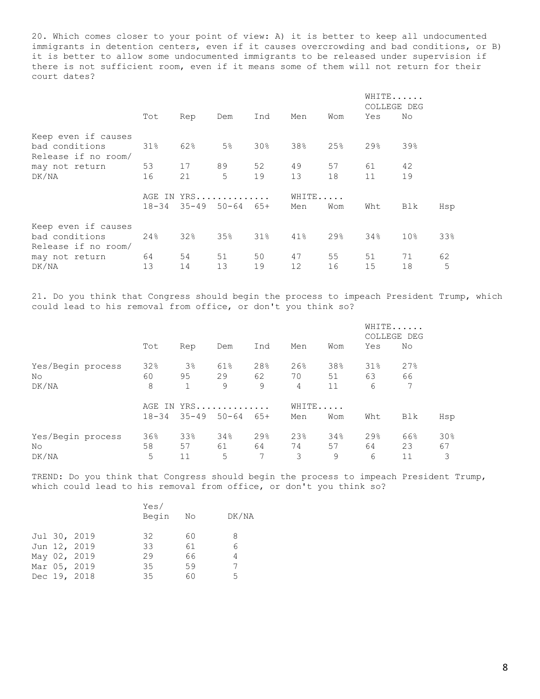20. Which comes closer to your point of view: A) it is better to keep all undocumented immigrants in detention centers, even if it causes overcrowding and bad conditions, or B) it is better to allow some undocumented immigrants to be released under supervision if there is not sufficient room, even if it means some of them will not return for their court dates?

|                     |           |     |                            |                 |       |                 | WHITE<br>COLLEGE DEG |                 |     |
|---------------------|-----------|-----|----------------------------|-----------------|-------|-----------------|----------------------|-----------------|-----|
|                     | Tot       | Rep | Dem                        | Ind             | Men   | Wom             | Yes                  | No              |     |
| Keep even if causes |           |     |                            |                 |       |                 |                      |                 |     |
| bad conditions      | 31%       | 62% | 5%                         | 30 <sub>8</sub> | 38%   | 25%             | 29%                  | 39%             |     |
| Release if no room/ |           |     |                            |                 |       |                 |                      |                 |     |
| may not return      | 53        | 17  | 89                         | 52              | 49    | 57              | 61                   | 42              |     |
| DK/NA               | 16        | 21  | 5                          | 19              | 13    | 18              | 11                   | 19              |     |
|                     |           |     | AGE IN YRS                 |                 | WHITE |                 |                      |                 |     |
|                     | $18 - 34$ |     | $35 - 49$ $50 - 64$ $65 +$ |                 | Men   | Wom             | Wht                  | Blk             | Hsp |
| Keep even if causes |           |     |                            |                 |       |                 |                      |                 |     |
| bad conditions      | 24%       | 32% | 35%                        | $31\%$          | 41%   | 29 <sub>8</sub> | 34%                  | 10 <sub>8</sub> | 33% |
| Release if no room/ |           |     |                            |                 |       |                 |                      |                 |     |
| may not return      | 64        | 54  | 51                         | 50              | 47    | 55              | 51                   | 71              | 62  |
| DK/NA               | 13        | 14  | 13                         | 19              | 12    | 16              | 15                   | 18              | 5   |

21. Do you think that Congress should begin the process to impeach President Trump, which could lead to his removal from office, or don't you think so?

|                   |           |       |                     |       |     |       | WHITE<br>COLLEGE DEG |     |     |
|-------------------|-----------|-------|---------------------|-------|-----|-------|----------------------|-----|-----|
|                   | Tot       | Rep   | Dem                 | Ind   | Men | Wom   | Yes                  | No  |     |
| Yes/Begin process | 32%       | $3\%$ | 61%                 | 28%   | 26% | 38%   | 31%                  | 27% |     |
| No.               | 60        | 95    | 29                  | 62    | 70  | 51    | 63                   | 66  |     |
| DK/NA             | 8         | 1     | 9                   | 9     | 4   | 11    | 6                    | 7   |     |
|                   | AGE IN    | YRS   |                     |       |     | WHITE |                      |     |     |
|                   | $18 - 34$ |       | $35 - 49$ $50 - 64$ | $65+$ | Men | Wom   | Wht                  | Blk | Hsp |
| Yes/Begin process | 36%       | 33%   | 34%                 | 29%   | 23% | 34%   | 29%                  | 66% | 30% |
| No.               | 58        | 57    | 61                  | 64    | 74  | 57    | 64                   | 23  | 67  |
| DK/NA             | 5         | 11    | 5                   | 7     | 3   | 9     | 6                    | 11  | 3   |

TREND: Do you think that Congress should begin the process to impeach President Trump, which could lead to his removal from office, or don't you think so?

|  |              | Yes/<br>Begin | No | DK/NA |
|--|--------------|---------------|----|-------|
|  | Jul 30, 2019 | 32            | 60 | 8     |
|  | Jun 12, 2019 | 33            | 61 | 6     |
|  | May 02, 2019 | 29            | 66 | 4     |
|  | Mar 05, 2019 | 35            | 59 |       |
|  | Dec 19, 2018 | 35            | 60 | 5     |
|  |              |               |    |       |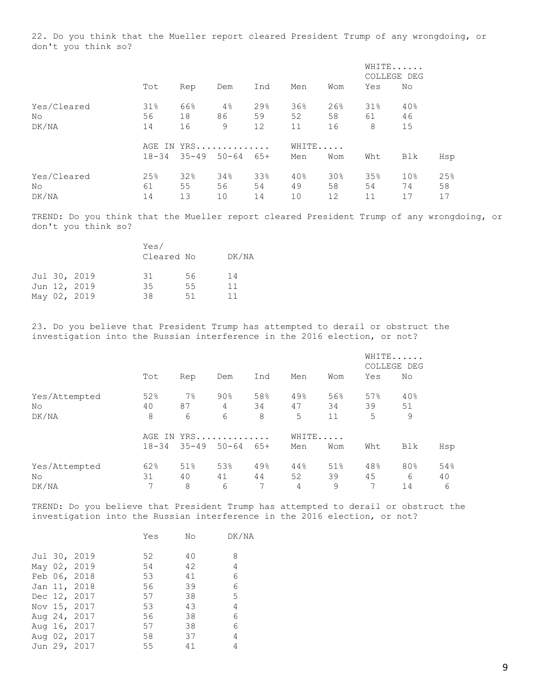22. Do you think that the Mueller report cleared President Trump of any wrongdoing, or don't you think so?

|             | Tot       |           |            |           |           |           | WHITE<br>COLLEGE DEG |                       |           |
|-------------|-----------|-----------|------------|-----------|-----------|-----------|----------------------|-----------------------|-----------|
|             |           | Rep       | Dem        | Ind       | Men       | Wom       | Yes                  | No                    |           |
| Yes/Cleared | 31%       | 66%       | 4%         | 29%       | 36%       | 26%       | 31%                  | 40%                   |           |
| No          | 56        | 18        | 86         | 59        | 52        | 58        | 61                   | 46                    |           |
| DK/NA       | 14        | 16        | 9          | 12        | 11        | 16        | 8                    | 15                    |           |
|             |           |           | AGE IN YRS |           | WHITE     |           |                      |                       |           |
|             | $18 - 34$ | $35 - 49$ | $50 - 64$  | $65+$     | Men       | Wom       | Wht                  | Blk                   | Hsp       |
| Yes/Cleared | 25%<br>61 | 32%<br>55 | 34%<br>56  | 33%<br>54 | 40%<br>49 | 30%<br>58 | 35%<br>54            | 10 <sub>8</sub><br>74 | 25%<br>58 |
| No<br>DK/NA | 14        | 13        | 10         | 14        | 10        | 12        | 11                   | 17                    | 17        |
|             |           |           |            |           |           |           |                      |                       |           |

TREND: Do you think that the Mueller report cleared President Trump of any wrongdoing, or don't you think so?

|              | Yes/<br>Cleared No |    | DK/NA |
|--------------|--------------------|----|-------|
| Jul 30, 2019 | .31                | 56 | 14    |
| Jun 12, 2019 | 35                 | 55 | 11    |
| May 02, 2019 | 38                 | 51 | 11    |

23. Do you believe that President Trump has attempted to derail or obstruct the investigation into the Russian interference in the 2016 election, or not?

|               |           |           |            |       |       |     | WHITE<br>COLLEGE DEG |     |     |
|---------------|-----------|-----------|------------|-------|-------|-----|----------------------|-----|-----|
|               | Tot       | Rep       | Dem        | Ind   | Men   | Wom | Yes                  | No  |     |
| Yes/Attempted | 52%       | 7%        | $90\%$     | 58%   | 49%   | 56% | 57%                  | 40% |     |
| No            | 40        | 87        | 4          | 34    | 47    | 34  | 39                   | 51  |     |
| DK/NA         | 8         | 6         | 6          | 8     | 5     | 11  | 5                    | 9   |     |
|               |           |           | AGE IN YRS |       | WHITE |     |                      |     |     |
|               | $18 - 34$ | $35 - 49$ | $50 - 64$  | $65+$ | Men   | Wom | Wht                  | Blk | Hsp |
| Yes/Attempted | 62%       | 51%       | 53%        | 49%   | 44%   | 51% | 48%                  | 80% | 54% |
| No            | 31        | 40        | 41         | 44    | 52    | 39  | 45                   | 6   | 40  |
| DK/NA         | 7         | 8         | 6          | 7     | 4     | 9   | 7                    | 14  | 6   |

TREND: Do you believe that President Trump has attempted to derail or obstruct the investigation into the Russian interference in the 2016 election, or not?

|              |              | Yes | No | DK/NA |
|--------------|--------------|-----|----|-------|
|              | Jul 30, 2019 | 52  | 40 | 8     |
| May 02, 2019 |              | 54  | 42 | 4     |
| Feb 06, 2018 |              | 53  | 41 | 6     |
| Jan 11, 2018 |              | 56  | 39 | 6     |
| Dec 12, 2017 |              | 57  | 38 | 5     |
| Nov 15, 2017 |              | 53  | 43 | 4     |
| Aug 24, 2017 |              | 56  | 38 | 6     |
| Aug 16, 2017 |              | 57  | 38 | 6     |
| Aug 02, 2017 |              | 58  | 37 | 4     |
| Jun 29, 2017 |              | 55  | 41 | 4     |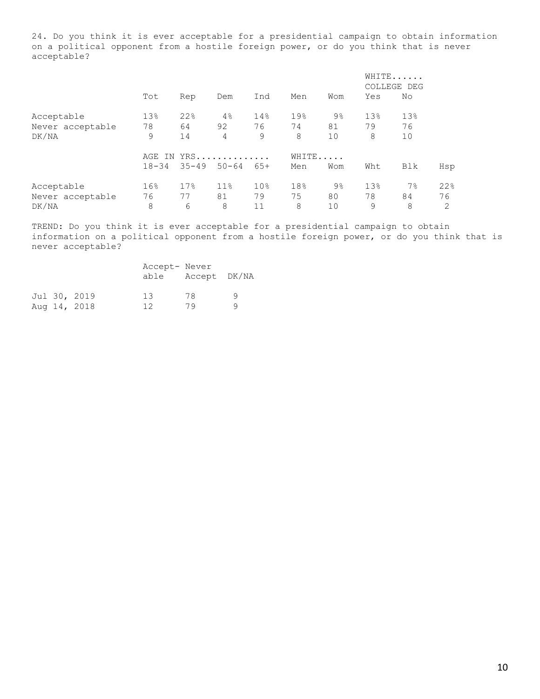24. Do you think it is ever acceptable for a presidential campaign to obtain information on a political opponent from a hostile foreign power, or do you think that is never acceptable?

|                  |                 |           |                 |                 |       |                |     | WHITE<br>COLLEGE DEG |     |
|------------------|-----------------|-----------|-----------------|-----------------|-------|----------------|-----|----------------------|-----|
|                  | Tot             | Rep       | Dem             | Ind             | Men   | Wom            | Yes | No                   |     |
| Acceptable       | 13%             | 22%       | 4%              | 14%             | 19%   | $9\frac{6}{6}$ | 13% | 13%                  |     |
| Never acceptable | 78              | 64        | 92              | 76              | 74    | 81             | 79  | 76                   |     |
| DK/NA            | 9               | 14        | 4               | 9               | 8     | 10             | 8   | 10                   |     |
|                  |                 |           | AGE IN YRS      |                 | WHITE |                |     |                      |     |
|                  | $18 - 34$       | $35 - 49$ | $50 - 64$       | $65+$           | Men   | Wom            | Wht | Blk                  | Hsp |
| Acceptable       | 16 <sup>°</sup> | 17%       | 11 <sup>°</sup> | 10 <sub>8</sub> | 18%   | $9\%$          | 13% | $7\%$                | 22% |
| Never acceptable | 76              | 77        | 81              | 79              | 75    | 80             | 78  | 84                   | 76  |
| DK/NA            | 8               | 6         | 8               | 11              | 8     | 10             | 9   | 8                    | 2   |

TREND: Do you think it is ever acceptable for a presidential campaign to obtain information on a political opponent from a hostile foreign power, or do you think that is never acceptable?

|  |                              | Accept- Never<br>able | Accept DK/NA |  |
|--|------------------------------|-----------------------|--------------|--|
|  | Jul 30, 2019<br>Aug 14, 2018 | 13<br>12              | 78<br>7 Q    |  |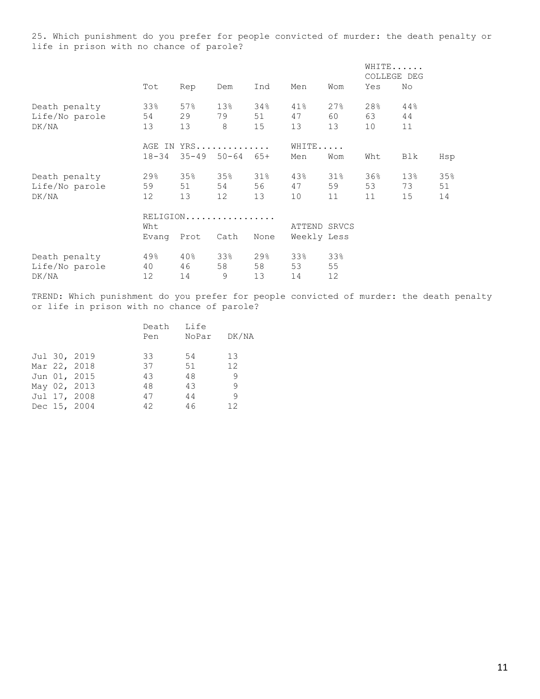25. Which punishment do you prefer for people convicted of murder: the death penalty or life in prison with no chance of parole?

|                |                   |            |           |       |             |              |     | WHITE<br>COLLEGE DEG |     |
|----------------|-------------------|------------|-----------|-------|-------------|--------------|-----|----------------------|-----|
|                | Tot               | Rep        | Dem       | Ind   | Men         | Wom          | Yes | No                   |     |
| Death penalty  | 33%               | 57%        | 13%       | 34%   | 41%         | 27%          | 28% | 44%                  |     |
| Life/No parole | 54                | 29         | 79        | 51    | 47          | 60           | 63  | 44                   |     |
| DK/NA          | 13                | 13         | 8         | 15    | 13          | 13           | 10  | 11                   |     |
|                |                   | AGE IN YRS |           |       | WHITE       |              |     |                      |     |
|                | $18 - 34$         | $35 - 49$  | $50 - 64$ | $65+$ | Men         | Wom          | Wht | Blk                  | Hsp |
| Death penalty  | 29%               | 35%        | 35%       | 31%   | 43%         | $31\%$       | 36% | 13%                  | 35% |
| Life/No parole | 59                | 51         | 54        | 56    | 47          | 59           | 53  | 73                   | 51  |
| DK/NA          | $12 \overline{ }$ | 13         | 12        | 13    | 10          | 11           | 11  | 15                   | 14  |
|                |                   | RELIGION   |           |       |             |              |     |                      |     |
|                | Wht               |            |           |       |             | ATTEND SRVCS |     |                      |     |
|                | Evang             | Prot       | Cath      | None  | Weekly Less |              |     |                      |     |
| Death penalty  | 49%               | 40%        | 33%       | 29%   | 33%         | 33%          |     |                      |     |
| Life/No parole | 40                | 46         | 58        | 58    | 53          | 55           |     |                      |     |
| DK/NA          | 12                | 14         | 9         | 13    | 14          | 12           |     |                      |     |

TREND: Which punishment do you prefer for people convicted of murder: the death penalty or life in prison with no chance of parole?

|  |              | Death | Life  |                   |
|--|--------------|-------|-------|-------------------|
|  |              | Pen   | NoPar | DK/NA             |
|  |              |       |       |                   |
|  | Jul 30, 2019 | 33    | 54    | 13                |
|  | Mar 22, 2018 | 37    | 51    | $12 \overline{ }$ |
|  | Jun 01, 2015 | 43    | 48    | -9                |
|  | May 02, 2013 | 48    | 43    | 9                 |
|  | Jul 17, 2008 | 47    | 44    | 9                 |
|  | Dec 15, 2004 | 42    | 46    | 12 <sup>°</sup>   |
|  |              |       |       |                   |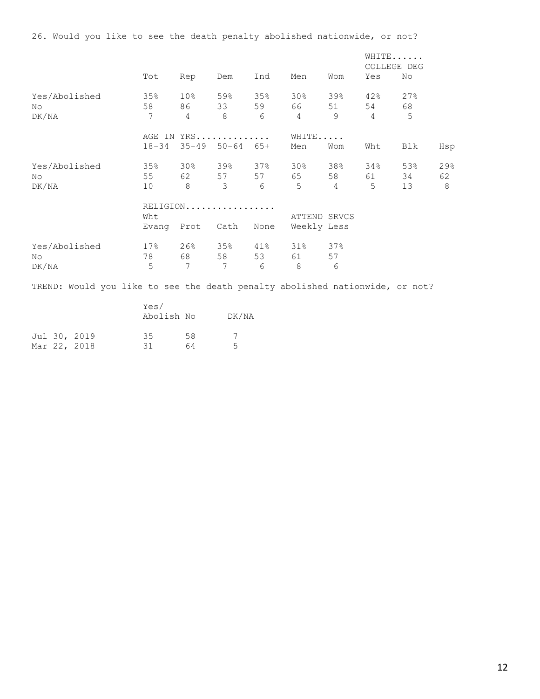|                                                                              |                                                                                                                                                                                                                                 |                 |                             |                 |                |         | WHITE<br>COLLEGE DEG |     |     |
|------------------------------------------------------------------------------|---------------------------------------------------------------------------------------------------------------------------------------------------------------------------------------------------------------------------------|-----------------|-----------------------------|-----------------|----------------|---------|----------------------|-----|-----|
|                                                                              | Tot                                                                                                                                                                                                                             | Rep             | Dem                         | Ind             | Men            | Wom     | Yes                  | No  |     |
| Yes/Abolished                                                                | 35%                                                                                                                                                                                                                             |                 | 10% 59% 35% 30%             |                 |                | 39% 42% |                      | 27% |     |
| No                                                                           | 58                                                                                                                                                                                                                              |                 | 86 33 59                    |                 | 66 10          | 51 54   |                      | 68  |     |
| DK/NA                                                                        | $7\phantom{.0}$                                                                                                                                                                                                                 | $\overline{4}$  | 8 <sup>8</sup>              | 6               | $\overline{4}$ | 9       | $\overline{4}$       | 5   |     |
|                                                                              |                                                                                                                                                                                                                                 |                 | AGE IN YRS                  |                 | WHITE          |         |                      |     |     |
|                                                                              |                                                                                                                                                                                                                                 |                 | 18-34 35-49 50-64 65+       |                 | Men            | Wom     | Wht                  | Blk | Hsp |
| Yes/Abolished                                                                |                                                                                                                                                                                                                                 |                 | 35% 30% 39% 37% 30% 38% 34% |                 |                |         |                      | 53% | 29% |
| No.                                                                          |                                                                                                                                                                                                                                 |                 | 55 62 57 57 65              |                 |                | 58 61   |                      | 34  | 62  |
| DK/NA                                                                        | 10                                                                                                                                                                                                                              | 8 3             |                             |                 | 6 5 4          |         | $5 -$                | 13  | -8  |
|                                                                              |                                                                                                                                                                                                                                 |                 | RELIGION                    |                 |                |         |                      |     |     |
|                                                                              | Wht                                                                                                                                                                                                                             |                 |                             |                 | ATTEND SRVCS   |         |                      |     |     |
|                                                                              |                                                                                                                                                                                                                                 | Evang Prot Cath |                             | None            | Weekly Less    |         |                      |     |     |
| Yes/Abolished                                                                |                                                                                                                                                                                                                                 |                 | 17% 26% 35% 41% 31% 37%     |                 |                |         |                      |     |     |
| No                                                                           | 78 — 178 — 178 — 178 — 178 — 179 — 179 — 179 — 179 — 179 — 179 — 179 — 179 — 179 — 179 — 179 — 179 — 179 — 179 — 179 — 179 — 179 — 179 — 179 — 179 — 179 — 179 — 179 — 179 — 179 — 179 — 179 — 179 — 179 — 179 — 179 — 179 — 17 |                 | 68 58 53                    |                 | 61 — 10        | 57      |                      |     |     |
| DK/NA                                                                        | 5                                                                                                                                                                                                                               | $7\overline{ }$ | $7\overline{ }$             | $6\overline{6}$ | 8              | 6       |                      |     |     |
| TREND: Would you like to see the death penalty abolished nationwide, or not? |                                                                                                                                                                                                                                 |                 |                             |                 |                |         |                      |     |     |
|                                                                              | Yes/                                                                                                                                                                                                                            |                 |                             |                 |                |         |                      |     |     |

|  |  |              | Abolish No |    | DK/NA |  |  |
|--|--|--------------|------------|----|-------|--|--|
|  |  | Jul 30, 2019 | 35         | 58 |       |  |  |
|  |  | Mar 22, 2018 | 31         | 64 |       |  |  |